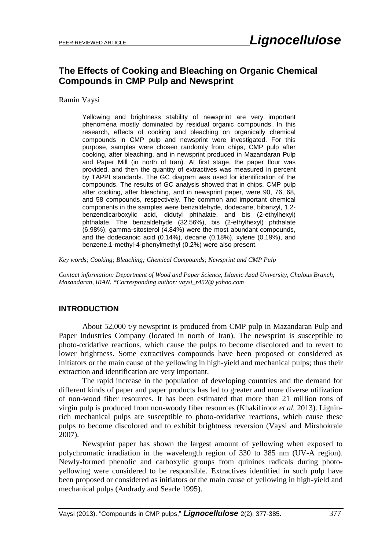# **The Effects of Cooking and Bleaching on Organic Chemical Compounds in CMP Pulp and Newsprint**

Ramin Vaysi

Yellowing and brightness stability of newsprint are very important phenomena mostly dominated by residual organic compounds. In this research, effects of cooking and bleaching on organically chemical compounds in CMP pulp and newsprint were investigated. For this purpose, samples were chosen randomly from chips, CMP pulp after cooking, after bleaching, and in newsprint produced in Mazandaran Pulp and Paper Mill (in north of Iran). At first stage, the paper flour was provided, and then the quantity of extractives was measured in percent by TAPPI standards. The GC diagram was used for identification of the compounds. The results of GC analysis showed that in chips, CMP pulp after cooking, after bleaching, and in newsprint paper, were 90, 76, 68, and 58 compounds, respectively. The common and important chemical components in the samples were benzaldehyde, dodecane, bibanzyl, 1,2 benzendicarboxylic acid, didutyl phthalate, and bis (2-ethylhexyl) phthalate. The benzaldehyde (32.56%), bis (2-ethylhexyl) phthalate (6.98%), gamma-sitosterol (4.84%) were the most abundant compounds, and the dodecanoic acid (0.14%), decane (0.18%), xylene (0.19%), and benzene,1-methyl-4-phenylmethyl (0.2%) were also present.

*Key words; Cooking; Bleaching; Chemical Compounds; Newsprint and CMP Pulp*

*Contact information: Department of Wood and Paper Science, Islamic Azad University, Chalous Branch, Mazandaran, IRAN. \*Corresponding author: vaysi\_r452@ yahoo.com*

### **INTRODUCTION**

About 52,000 t/y newsprint is produced from CMP pulp in Mazandaran Pulp and Paper Industries Company (located in north of Iran). The newsprint is susceptible to photo-oxidative reactions, which cause the pulps to become discolored and to revert to lower brightness. Some extractives compounds have been proposed or considered as initiators or the main cause of the yellowing in high-yield and mechanical pulps; thus their extraction and identification are very important.

The rapid increase in the population of developing countries and the demand for different kinds of paper and paper products has led to greater and more diverse utilization of non-wood fiber resources. It has been estimated that more than 21 million tons of virgin pulp is produced from non-woody fiber resources (Khakifirooz *et al.* 2013). Ligninrich mechanical pulps are susceptible to photo-oxidative reactions, which cause these pulps to become discolored and to exhibit brightness reversion (Vaysi and Mirshokraie 2007).

Newsprint paper has shown the largest amount of yellowing when exposed to polychromatic irradiation in the wavelength region of 330 to 385 nm (UV-A region). Newly-formed phenolic and carboxylic groups from quinines radicals during photoyellowing were considered to be responsible. Extractives identified in such pulp have been proposed or considered as initiators or the main cause of yellowing in high-yield and mechanical pulps (Andrady and Searle 1995).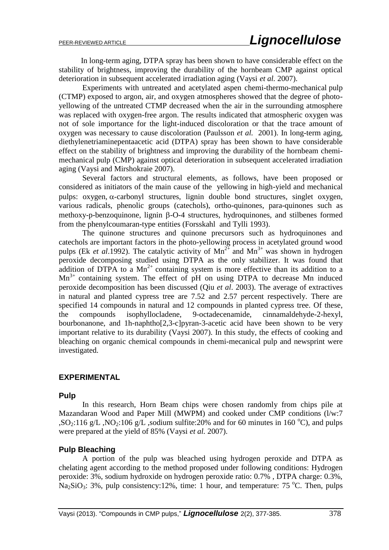In long-term aging, DTPA spray has been shown to have considerable effect on the stability of brightness, improving the durability of the hornbeam CMP against optical deterioration in subsequent accelerated irradiation aging (Vaysi *et al.* 2007).

Experiments with untreated and acetylated aspen chemi-thermo-mechanical pulp (CTMP) exposed to argon, air, and oxygen atmospheres showed that the degree of photoyellowing of the untreated CTMP decreased when the air in the surrounding atmosphere was replaced with oxygen-free argon. The results indicated that atmospheric oxygen was not of sole importance for the light-induced discoloration or that the trace amount of oxygen was necessary to cause discoloration (Paulsson *et al.* 2001). In long-term aging, diethylenetriaminepentaacetic acid (DTPA) spray has been shown to have considerable effect on the stability of brightness and improving the durability of the hornbeam chemimechanical pulp (CMP) against optical deterioration in subsequent accelerated irradiation aging (Vaysi and Mirshokraie 2007).

Several factors and structural elements, as follows, have been proposed or considered as initiators of the main cause of the yellowing in high-yield and mechanical pulps:  $oxygen, \alpha-carbonyl structures, lignin double bond structures, singlet oxygen,$ various radicals, phenolic groups (catechols), ortho-quinones, para-quinones such as methoxy-p-benzoquinone, lignin  $\beta$ -O-4 structures, hydroquinones, and stilbenes formed from the phenylcoumaran-type entities (Forsskahl and Tylli 1993).

The quinone structures and quinone precursors such as hydroquinones and catechols are important factors in the photo-yellowing process in acetylated ground wood pulps (Ek *et al.*1992). The catalytic activity of  $Mn^{2+}$  and  $Mn^{3+}$  was shown in hydrogen peroxide decomposing studied using DTPA as the only stabilizer. It was found that addition of DTPA to a  $Mn^{2+}$  containing system is more effective than its addition to a  $Mn^{3+}$  containing system. The effect of pH on using DTPA to decrease Mn induced peroxide decomposition has been discussed (Qiu *et al*. 2003). The average of extractives in natural and planted cypress tree are 7.52 and 2.57 percent respectively. There are specified 14 compounds in natural and 12 compounds in planted cypress tree. Of these, the compounds isophyllocladene, 9-octadecenamide, cinnamaldehyde-2-hexyl, bourbonanone, and 1h-naphtho[2,3-c]pyran-3-acetic acid have been shown to be very important relative to its durability (Vaysi 2007). In this study, the effects of cooking and bleaching on organic chemical compounds in chemi-mecanical pulp and newsprint were investigated.

### **EXPERIMENTAL**

#### **Pulp**

In this research, Horn Beam chips were chosen randomly from chips pile at Mazandaran Wood and Paper Mill (MWPM) and cooked under CMP conditions (l/w:7 ,SO<sub>2</sub>:116 g/L ,NO<sub>2</sub>:106 g/L ,sodium sulfite:20% and for 60 minutes in 160 °C), and pulps were prepared at the yield of 85% (Vaysi *et al.* 2007).

#### **Pulp Bleaching**

A portion of the pulp was bleached using hydrogen peroxide and DTPA as chelating agent according to the method proposed under following conditions: Hydrogen peroxide: 3%, sodium hydroxide on hydrogen peroxide ratio: 0.7% , DTPA charge: 0.3%, Na<sub>2</sub>SiO<sub>3</sub>: 3%, pulp consistency:12%, time: 1 hour, and temperature: 75 °C. Then, pulps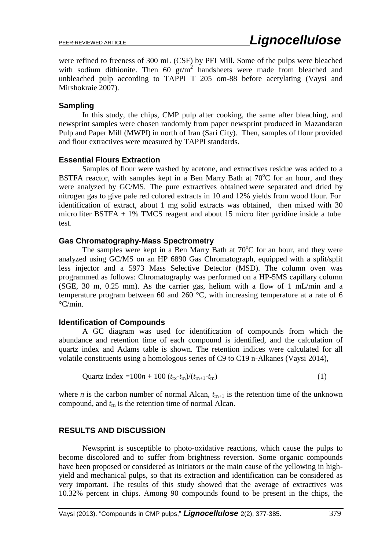were refined to freeness of 300 mL (CSF) by PFI Mill. Some of the pulps were bleached with sodium dithionite. Then  $60 \text{ gr/m}^2$  handsheets were made from bleached and unbleached pulp according to TAPPI T 205 om-88 before acetylating (Vaysi and Mirshokraie 2007).

### **Sampling**

 In this study, the chips, CMP pulp after cooking, the same after bleaching, and newsprint samples were chosen randomly from paper newsprint produced in Mazandaran Pulp and Paper Mill (MWPI) in north of Iran (Sari City). Then, samples of flour provided and flour extractives were measured by TAPPI standards.

### **Essential Flours Extraction**

Samples of flour were washed by acetone, and extractives residue was added to a BSTFA reactor, with samples kept in a Ben Marry Bath at  $70^{\circ}$ C for an hour, and they were analyzed by GC/MS. The pure extractives obtained were separated and dried by nitrogen gas to give pale red colored extracts in 10 and 12% yields from wood flour. For identification of extract, about 1 mg solid extracts was obtained, then mixed with 30 micro liter BSTFA + 1% TMCS reagent and about 15 micro liter pyridine inside a tube test**.**

### **Gas Chromatography-Mass Spectrometry**

The samples were kept in a Ben Marry Bath at  $70^{\circ}$ C for an hour, and they were analyzed using GC/MS on an HP 6890 Gas Chromatograph, equipped with a split/split less injector and a 5973 Mass Selective Detector (MSD). The column oven was programmed as follows: Chromatography was performed on a HP-5MS capillary column (SGE, 30 m, 0.25 mm). As the carrier gas, helium with a flow of 1 mL/min and a temperature program between 60 and 260 °C, with increasing temperature at a rate of 6 °C/min.

### **Identification of Compounds**

A GC diagram was used for identification of compounds from which the abundance and retention time of each compound is identified, and the calculation of quartz index and Adams table is shown. The retention indices were calculated for all volatile constituents using a homologous series of C9 to C19 n-Alkanes (Vaysi 2014),

$$
Quartz Index = 100n + 100 (trx-trn)/(trn+1-trn)
$$
\n(1)

where *n* is the carbon number of normal Alcan,  $t_{rn+1}$  is the retention time of the unknown compound, and  $t<sub>m</sub>$  is the retention time of normal Alcan.

## **RESULTS AND DISCUSSION**

Newsprint is susceptible to photo-oxidative reactions, which cause the pulps to become discolored and to suffer from brightness reversion. Some organic compounds have been proposed or considered as initiators or the main cause of the yellowing in highyield and mechanical pulps, so that its extraction and identification can be considered as very important. The results of this study showed that the average of extractives was 10.32% percent in chips. Among 90 compounds found to be present in the chips, the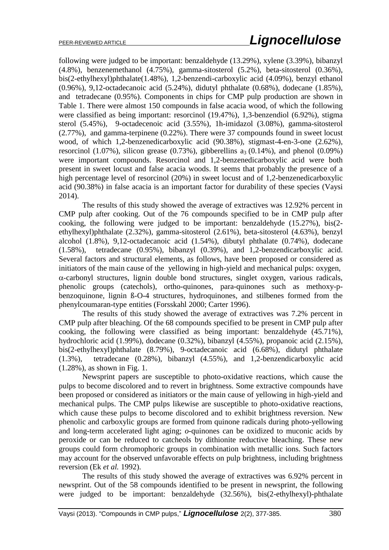following were judged to be important: benzaldehyde (13.29%), xylene (3.39%), bibanzyl (4.8%), benzenemethanol (4.75%), gamma-sitosterol (5.2%), beta-sitosterol (0.36%), bis(2-ethylhexyl)phthalate(1.48%), 1,2-benzendi-carboxylic acid (4.09%), benzyl ethanol (0.96%), 9,12-octadecanoic acid (5.24%), didutyl phthalate (0.68%), dodecane (1.85%), and tetradecane (0.95%). Components in chips for CMP pulp production are shown in Table 1. There were almost 150 compounds in false acacia wood, of which the following were classified as being important: resorcinol (19.47%), 1,3-benzendiol (6.92%), stigma sterol (5.45%), 9-octadecenoic acid (3.55%), 1h-imidazol (3.08%), gamma-sitosterol (2.77%), and gamma-terpinene (0.22%). There were 37 compounds found in sweet locust wood, of which 1,2-benzenedicarboxylic acid (90.38%), stigmast-4-en-3-one (2.62%), resorcinol (1.07%), silicon grease (0.73%), gibberellins  $a_3(0.14\%)$ , and phenol (0.09%) were important compounds. Resorcinol and 1,2-benzenedicarboxylic acid were both present in sweet locust and false acacia woods. It seems that probably the presence of a high percentage level of resorcinol (20%) in sweet locust and of 1,2-benzenedicarboxylic acid (90.38%) in false acacia is an important factor for durability of these species (Vaysi 2014).

The results of this study showed the average of extractives was 12.92% percent in CMP pulp after cooking. Out of the 76 compounds specified to be in CMP pulp after cooking, the following were judged to be important: benzaldehyde (15.27%), bis(2 ethylhexyl)phthalate (2.32%), gamma-sitosterol (2.61%), beta-sitosterol (4.63%), benzyl alcohol (1.8%), 9,12-octadecanoic acid (1.54%), dibutyl phthalate (0.74%), dodecane (1.58%), tetradecane (0.95%), bibanzyl (0.39%), and 1,2-benzendicarboxylic acid. Several factors and structural elements, as follows, have been proposed or considered as initiators of the main cause of the yellowing in high-yield and mechanical pulps: oxygen,  $\alpha$ -carbonyl structures, lignin double bond structures, singlet oxygen, various radicals, phenolic groups (catechols), ortho-quinones, para-quinones such as methoxy-pbenzoquinone, lignin ß-O-4 structures, hydroquinones, and stilbenes formed from the phenylcoumaran-type entities (Forsskahl 2000; Carter 1996).

The results of this study showed the average of extractives was 7.2% percent in CMP pulp after bleaching. Of the 68 compounds specified to be present in CMP pulp after cooking, the following were classified as being important: benzaldehyde (45.71%), hydrochloric acid (1.99%), dodecane (0.32%), bibanzyl (4.55%), propanoic acid (2.15%), bis(2-ethylhexyl)phthalate (8.79%), 9-octadecanoic acid (6.68%), didutyl phthalate (1.3%), tetradecane (0.28%), bibanzyl (4.55%), and 1,2-benzendicarboxylic acid (1.28%), as shown in Fig. 1.

Newsprint papers are susceptible to photo-oxidative reactions, which cause the pulps to become discolored and to revert in brightness. Some extractive compounds have been proposed or considered as initiators or the main cause of yellowing in high-yield and mechanical pulps. The CMP pulps likewise are susceptible to photo-oxidative reactions, which cause these pulps to become discolored and to exhibit brightness reversion. New phenolic and carboxylic groups are formed from quinone radicals during photo-yellowing and long-term accelerated light aging; *o*-quinones can be oxidized to muconic acids by peroxide or can be reduced to catcheols by dithionite reductive bleaching. These new groups could form chromophoric groups in combination with metallic ions. Such factors may account for the observed unfavorable effects on pulp brightness, including brightness reversion (Ek *et al.* 1992).

The results of this study showed the average of extractives was 6.92% percent in newsprint. Out of the 58 compounds identified to be present in newsprint, the following were judged to be important: benzaldehyde (32.56%), bis(2-ethylhexyl)-phthalate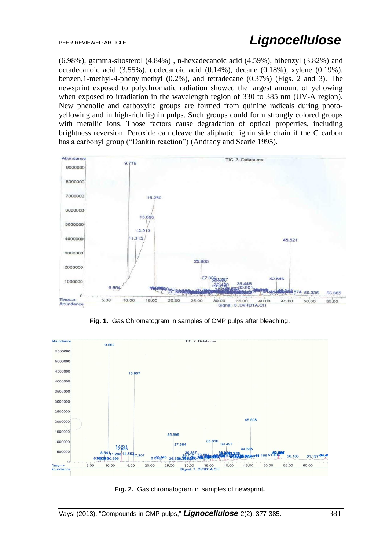(6.98%), gamma-sitosterol (4.84%) , n-hexadecanoic acid (4.59%), bibenzyl (3.82%) and octadecanoic acid (3.55%), dodecanoic acid (0.14%), decane (0.18%), xylene (0.19%), benzen,1-methyl-4-phenylmethyl (0.2%), and tetradecane (0.37%) (Figs. 2 and 3). The newsprint exposed to polychromatic radiation showed the largest amount of yellowing when exposed to irradiation in the wavelength region of 330 to 385 nm (UV-A region). New phenolic and carboxylic groups are formed from quinine radicals during photoyellowing and in high-rich lignin pulps. Such groups could form strongly colored groups with metallic ions. Those factors cause degradation of optical properties, including brightness reversion. Peroxide can cleave the aliphatic lignin side chain if the C carbon has a carbonyl group ("Dankin reaction") (Andrady and Searle 1995).



**Fig. 1.** Gas Chromatogram in samples of CMP pulps after bleaching.



**Fig. 2.** Gas chromatogram in samples of newsprint**.**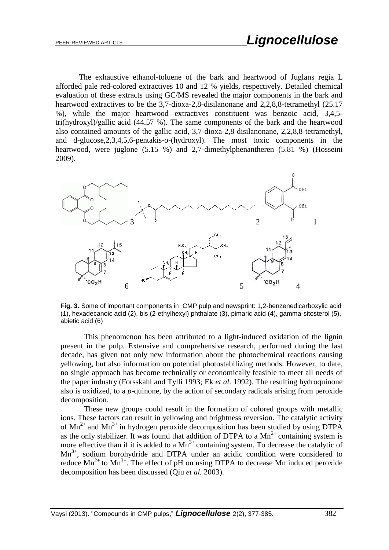The exhaustive ethanol-toluene of the bark and heartwood of Juglans regia L afforded pale red-colored extractives 10 and 12 % yields, respectively. Detailed chemical evaluation of these extracts using GC/MS revealed the major components in the bark and heartwood extractives to be the 3,7-dioxa-2,8-disilanonane and 2,2,8,8-tetramethyl (25.17 %), while the major heartwood extractives constituent was benzoic acid, 3,4,5 tri(hydroxyl)/gallic acid (44.57 %). The same components of the bark and the heartwood also contained amounts of the gallic acid, 3,7-dioxa-2,8-disilanonane, 2,2,8,8-tetramethyl, and d-glucose,2,3,4,5,6-pentakis-o-(hydroxyl). The most toxic components in the heartwood, were juglone (5.15 %) and 2,7-dimethylphenantheren (5.81 %) (Hosseini 2009).



**Fig. 3.** Some of important components in CMP pulp and newsprint: 1,2-benzenedicarboxylic acid (1), hexadecanoic acid (2), bis (2-ethylhexyl) phthalate (3), pimaric acid (4), gamma-sitosterol (5), abietic acid (6)

This phenomenon has been attributed to a light-induced oxidation of the lignin present in the pulp. Extensive and comprehensive research, performed during the last decade, has given not only new information about the photochemical reactions causing yellowing, but also information on potential photostabilizing methods. However, to date, no single approach has become technically or economically feasible to meet all needs of the paper industry (Forsskahl and Tylli 1993; Ek *et al*. 1992). The resulting hydroquinone also is oxidized, to a *p*-quinone, by the action of secondary radicals arising from peroxide decomposition.

These new groups could result in the formation of colored groups with metallic ions. These factors can result in yellowing and brightness reversion. The catalytic activity of  $Mn^{2+}$  and  $Mn^{3+}$  in hydrogen peroxide decomposition has been studied by using DTPA as the only stabilizer. It was found that addition of DTPA to a  $Mn^{2+}$  containing system is more effective than if it is added to a  $Mn^{3+}$  containing system. To decrease the catalytic of  $Mn^{3+}$ , sodium borohydride and DTPA under an acidic condition were considered to reduce  $Mn^{2+}$  to  $Mn^{3+}$ . The effect of pH on using DTPA to decrease Mn induced peroxide decomposition has been discussed (Qiu *et al.* 2003).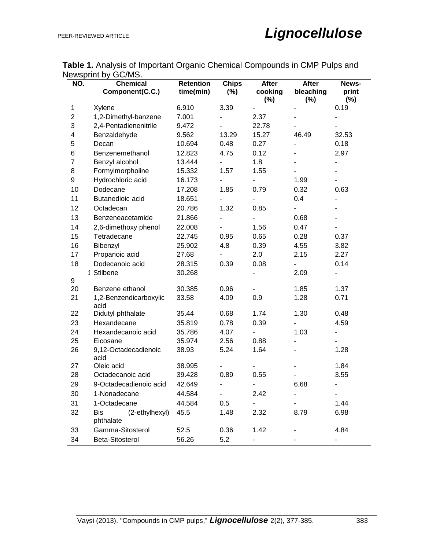| NO.                     | o wopiniu wy<br>טויו יי<br><b>Chemical</b><br>Component(C.C.) | <b>Retention</b><br>time(min) | <b>Chips</b><br>$(\%)$   | After<br>cooking<br>$(\%)$ | <b>After</b><br>bleaching<br>$(\%)$ | News-<br>print<br>(%)    |
|-------------------------|---------------------------------------------------------------|-------------------------------|--------------------------|----------------------------|-------------------------------------|--------------------------|
| $\mathbf{1}$            | Xylene                                                        | 6.910                         | 3.39                     |                            |                                     | 0.19                     |
| $\overline{c}$          | 1,2-Dimethyl-banzene                                          | 7.001                         |                          | 2.37                       |                                     |                          |
| 3                       | 2,4-Pentadienenitrile                                         | 9.472                         |                          | 22.78                      |                                     |                          |
| $\overline{\mathbf{4}}$ | Benzaldehyde                                                  | 9.562                         | 13.29                    | 15.27                      | 46.49                               | 32.53                    |
| 5                       | Decan                                                         | 10.694                        | 0.48                     | 0.27                       |                                     | 0.18                     |
| 6                       | Benzenemethanol                                               | 12.823                        | 4.75                     | 0.12                       |                                     | 2.97                     |
| $\overline{7}$          | Benzyl alcohol                                                | 13.444                        |                          | 1.8                        |                                     | $\overline{\phantom{0}}$ |
| 8                       | Formylmorpholine                                              | 15.332                        | 1.57                     | 1.55                       |                                     |                          |
| 9                       | Hydrochloric acid                                             | 16.173                        |                          |                            | 1.99                                |                          |
| 10                      | Dodecane                                                      | 17.208                        | 1.85                     | 0.79                       | 0.32                                | 0.63                     |
| 11                      | Butanedioic acid                                              | 18.651                        |                          |                            | 0.4                                 |                          |
| 12                      | Octadecan                                                     | 20.786                        | 1.32                     | 0.85                       | $\overline{\phantom{0}}$            |                          |
| 13                      | Benzeneacetamide                                              | 21.866                        | $\overline{\phantom{a}}$ |                            | 0.68                                |                          |
| 14                      | 2,6-dimethoxy phenol                                          | 22.008                        |                          | 1.56                       | 0.47                                |                          |
| 15                      | Tetradecane                                                   | 22.745                        | 0.95                     | 0.65                       | 0.28                                | 0.37                     |
| 16                      | Bibenzyl                                                      | 25.902                        | 4.8                      | 0.39                       | 4.55                                | 3.82                     |
| 17                      | Propanoic acid                                                | 27.68                         |                          | 2.0                        | 2.15                                | 2.27                     |
| 18                      | Dodecanoic acid                                               | 28.315                        | 0.39                     | 0.08                       | -                                   | 0.14                     |
|                         | 1 Stilbene                                                    | 30.268                        |                          |                            | 2.09                                |                          |
| 9                       |                                                               |                               |                          |                            |                                     |                          |
| 20                      | Benzene ethanol                                               | 30.385                        | 0.96                     |                            | 1.85                                | 1.37                     |
| 21                      | 1,2-Benzendicarboxylic<br>acid                                | 33.58                         | 4.09                     | 0.9                        | 1.28                                | 0.71                     |
| 22                      | Didutyl phthalate                                             | 35.44                         | 0.68                     | 1.74                       | 1.30                                | 0.48                     |
| 23                      | Hexandecane                                                   | 35.819                        | 0.78                     | 0.39                       |                                     | 4.59                     |
| 24                      | Hexandecanoic acid                                            | 35.786                        | 4.07                     |                            | 1.03                                |                          |
| 25                      | Eicosane                                                      | 35.974                        | 2.56                     | 0.88                       | -                                   |                          |
| 26                      | 9,12-Octadecadienoic<br>acid                                  | 38.93                         | 5.24                     | 1.64                       |                                     | 1.28                     |
| 27                      | Oleic acid                                                    | 38.995                        |                          |                            |                                     | 1.84                     |
| 28                      | Octadecanoic acid                                             | 39.428                        | 0.89                     | 0.55                       |                                     | 3.55                     |
| 29                      | 9-Octadecadienoic acid                                        | 42.649                        | $\overline{\phantom{0}}$ | -                          | 6.68                                | -                        |
| 30                      | 1-Nonadecane                                                  | 44.584                        |                          | 2.42                       |                                     | -                        |
| 31                      | 1-Octadecane                                                  | 44.584                        | 0.5                      | $\overline{\phantom{0}}$   |                                     | 1.44                     |
| 32                      | <b>Bis</b><br>(2-ethylhexyl)<br>phthalate                     | 45.5                          | 1.48                     | 2.32                       | 8.79                                | 6.98                     |
| 33                      | Gamma-Sitosterol                                              | 52.5                          | 0.36                     | 1.42                       |                                     | 4.84                     |
| 34                      | Beta-Sitosterol                                               | 56.26                         | 5.2                      |                            |                                     |                          |

**Table 1.** Analysis of Important Organic Chemical Compounds in CMP Pulps and Newsprint by GC/MS.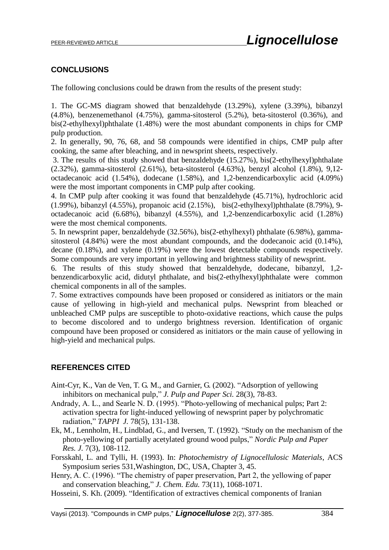# **CONCLUSIONS**

The following conclusions could be drawn from the results of the present study:

1. The GC-MS diagram showed that benzaldehyde (13.29%), xylene (3.39%), bibanzyl (4.8%), benzenemethanol (4.75%), gamma-sitosterol (5.2%), beta-sitosterol (0.36%), and bis(2-ethylhexyl)phthalate (1.48%) were the most abundant components in chips for CMP pulp production.

2. In generally, 90, 76, 68, and 58 compounds were identified in chips, CMP pulp after cooking, the same after bleaching, and in newsprint sheets, respectively.

3. The results of this study showed that benzaldehyde (15.27%), bis(2-ethylhexyl)phthalate (2.32%), gamma-sitosterol (2.61%), beta-sitosterol (4.63%), benzyl alcohol (1.8%), 9,12 octadecanoic acid (1.54%), dodecane (1.58%), and 1,2-benzendicarboxylic acid (4.09%) were the most important components in CMP pulp after cooking.

4. In CMP pulp after cooking it was found that benzaldehyde (45.71%), hydrochloric acid (1.99%), bibanzyl (4.55%), propanoic acid (2.15%), bis(2-ethylhexyl)phthalate (8.79%), 9 octadecanoic acid (6.68%), bibanzyl (4.55%), and 1,2-benzendicarboxylic acid (1.28%) were the most chemical components.

5. In newsprint paper, benzaldehyde (32.56%), bis(2-ethylhexyl) phthalate (6.98%), gammasitosterol (4.84%) were the most abundant compounds, and the dodecanoic acid (0.14%), decane (0.18%), and xylene (0.19%) were the lowest detectable compounds respectively. Some compounds are very important in yellowing and brightness stability of newsprint.

6. The results of this study showed that benzaldehyde, dodecane, bibanzyl, 1,2 benzendicarboxylic acid, didutyl phthalate, and bis(2-ethylhexyl)phthalate were common chemical components in all of the samples.

7. Some extractives compounds have been proposed or considered as initiators or the main cause of yellowing in high-yield and mechanical pulps. Newsprint from bleached or unbleached CMP pulps are susceptible to photo-oxidative reactions, which cause the pulps to become discolored and to undergo brightness reversion. Identification of organic compound have been proposed or considered as initiators or the main cause of yellowing in high-yield and mechanical pulps.

## **REFERENCES CITED**

- Aint-Cyr, K., Van de Ven, T. G. M., and Garnier, G. (2002). "Adsorption of yellowing inhibitors on mechanical pulp," *J. Pulp and Paper Sci.* 28(3), 78-83.
- Andrady, A. L., and Searle N. D. (1995). "Photo-yellowing of mechanical pulps; Part 2: activation spectra for light-induced yellowing of newsprint paper by polychromatic radiation," *TAPPI J.* 78(5), 131-138.
- Ek, M., Lennholm, H., Lindblad, G., and Iversen, T. (1992). "Study on the mechanism of the photo-yellowing of partially acetylated ground wood pulps," *Nordic Pulp and Paper Res. J.* 7(3), 108-112.
- Forsskahl, L. and Tylli, H. (1993). In: *Photochemistry of Lignocellulosic Materials*, ACS Symposium series 531,Washington, DC, USA, Chapter 3, 45.
- Henry, A. C. (1996). "The chemistry of paper preservation, Part 2, the yellowing of paper and conservation bleaching," *J. Chem. Edu.* 73(11), 1068-1071.
- Hosseini, S. Kh. (2009). "Identification of extractives chemical components of Iranian